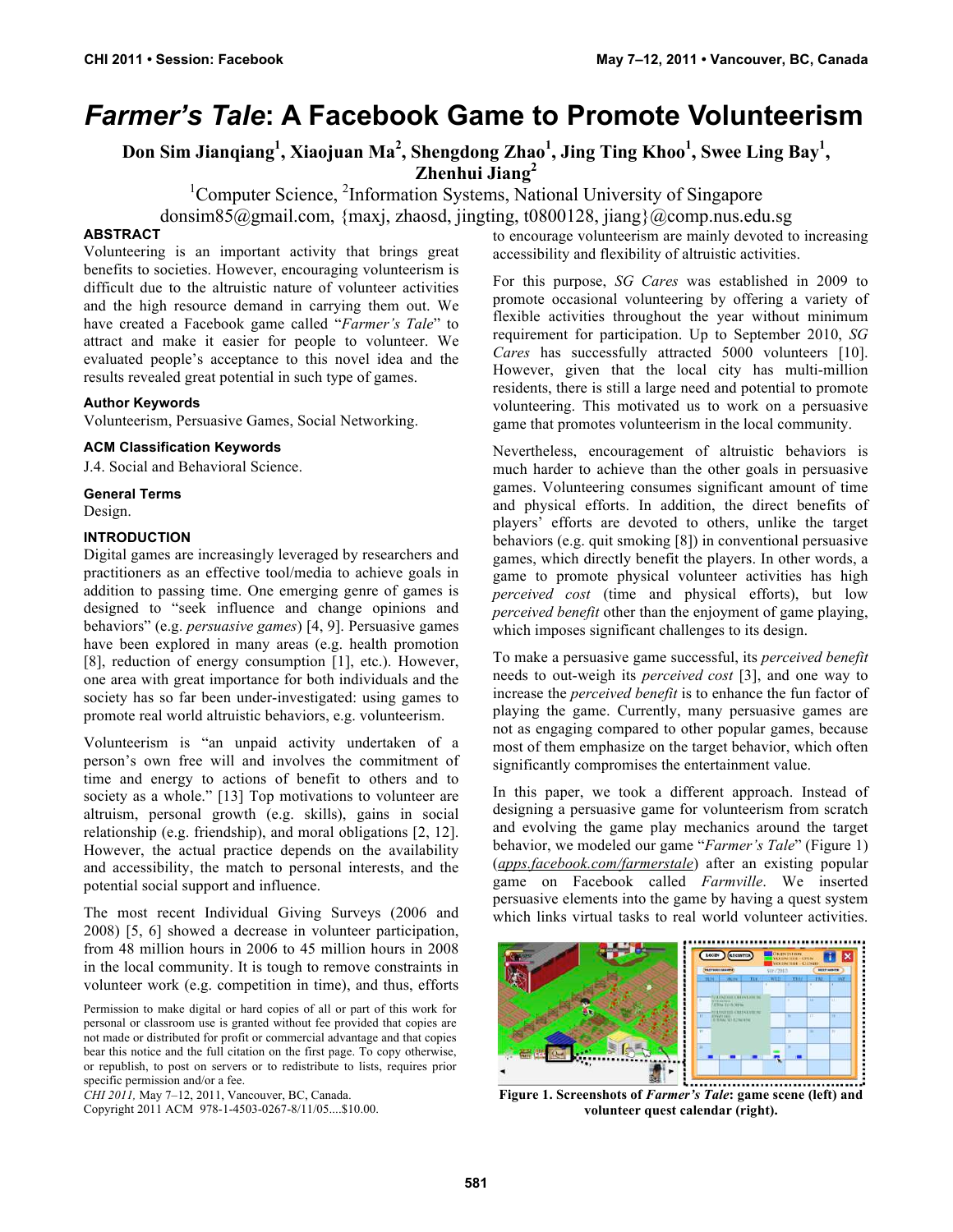# *Farmer's Tale***: A Facebook Game to Promote Volunteerism**

**Don Sim Jianqiang<sup>1</sup> , Xiaojuan Ma<sup>2</sup> , Shengdong Zhao<sup>1</sup> , Jing Ting Khoo<sup>1</sup> , Swee Ling Bay1 , Zhenhui Jiang<sup>2</sup>**

<sup>1</sup>Computer Science, <sup>2</sup>Information Systems, National University of Singapore

donsim85@gmail.com, {maxj, zhaosd, jingting, t0800128, jiang}@comp.nus.edu.sg

# **ABSTRACT**

Volunteering is an important activity that brings great benefits to societies. However, encouraging volunteerism is difficult due to the altruistic nature of volunteer activities and the high resource demand in carrying them out. We have created a Facebook game called "*Farmer's Tale*" to attract and make it easier for people to volunteer. We evaluated people's acceptance to this novel idea and the results revealed great potential in such type of games.

# **Author Keywords**

Volunteerism, Persuasive Games, Social Networking.

# **ACM Classification Keywords**

J.4. Social and Behavioral Science.

**General Terms**

Design.

# **INTRODUCTION**

Digital games are increasingly leveraged by researchers and practitioners as an effective tool/media to achieve goals in addition to passing time. One emerging genre of games is designed to "seek influence and change opinions and behaviors" (e.g. *persuasive games*) [4, 9]. Persuasive games have been explored in many areas (e.g. health promotion [8], reduction of energy consumption [1], etc.). However, one area with great importance for both individuals and the society has so far been under-investigated: using games to promote real world altruistic behaviors, e.g. volunteerism.

Volunteerism is "an unpaid activity undertaken of a person's own free will and involves the commitment of time and energy to actions of benefit to others and to society as a whole." [13] Top motivations to volunteer are altruism, personal growth (e.g. skills), gains in social relationship (e.g. friendship), and moral obligations [2, 12]. However, the actual practice depends on the availability and accessibility, the match to personal interests, and the potential social support and influence.

The most recent Individual Giving Surveys (2006 and 2008) [5, 6] showed a decrease in volunteer participation, from 48 million hours in 2006 to 45 million hours in 2008 in the local community. It is tough to remove constraints in volunteer work (e.g. competition in time), and thus, efforts

*CHI 2011,* May 7–12, 2011, Vancouver, BC, Canada.

Copyright 2011 ACM 978-1-4503-0267-8/11/05....\$10.00.

to encourage volunteerism are mainly devoted to increasing accessibility and flexibility of altruistic activities.

For this purpose, *SG Cares* was established in 2009 to promote occasional volunteering by offering a variety of flexible activities throughout the year without minimum requirement for participation. Up to September 2010, *SG Cares* has successfully attracted 5000 volunteers [10]. However, given that the local city has multi-million residents, there is still a large need and potential to promote volunteering. This motivated us to work on a persuasive game that promotes volunteerism in the local community.

Nevertheless, encouragement of altruistic behaviors is much harder to achieve than the other goals in persuasive games. Volunteering consumes significant amount of time and physical efforts. In addition, the direct benefits of players' efforts are devoted to others, unlike the target behaviors (e.g. quit smoking [8]) in conventional persuasive games, which directly benefit the players. In other words, a game to promote physical volunteer activities has high *perceived cost* (time and physical efforts), but low *perceived benefit* other than the enjoyment of game playing, which imposes significant challenges to its design.

To make a persuasive game successful, its *perceived benefit* needs to out-weigh its *perceived cost* [3], and one way to increase the *perceived benefit* is to enhance the fun factor of playing the game. Currently, many persuasive games are not as engaging compared to other popular games, because most of them emphasize on the target behavior, which often significantly compromises the entertainment value.

In this paper, we took a different approach. Instead of designing a persuasive game for volunteerism from scratch and evolving the game play mechanics around the target behavior, we modeled our game "*Farmer's Tale*" (Figure 1) (*apps.facebook.com/farmerstale*) after an existing popular game on Facebook called *Farmville*. We inserted persuasive elements into the game by having a quest system which links virtual tasks to real world volunteer activities.



**Figure 1. Screenshots of** *Farmer's Tale***: game scene (left) and volunteer quest calendar (right).**

Permission to make digital or hard copies of all or part of this work for personal or classroom use is granted without fee provided that copies are not made or distributed for profit or commercial advantage and that copies bear this notice and the full citation on the first page. To copy otherwise, or republish, to post on servers or to redistribute to lists, requires prior specific permission and/or a fee.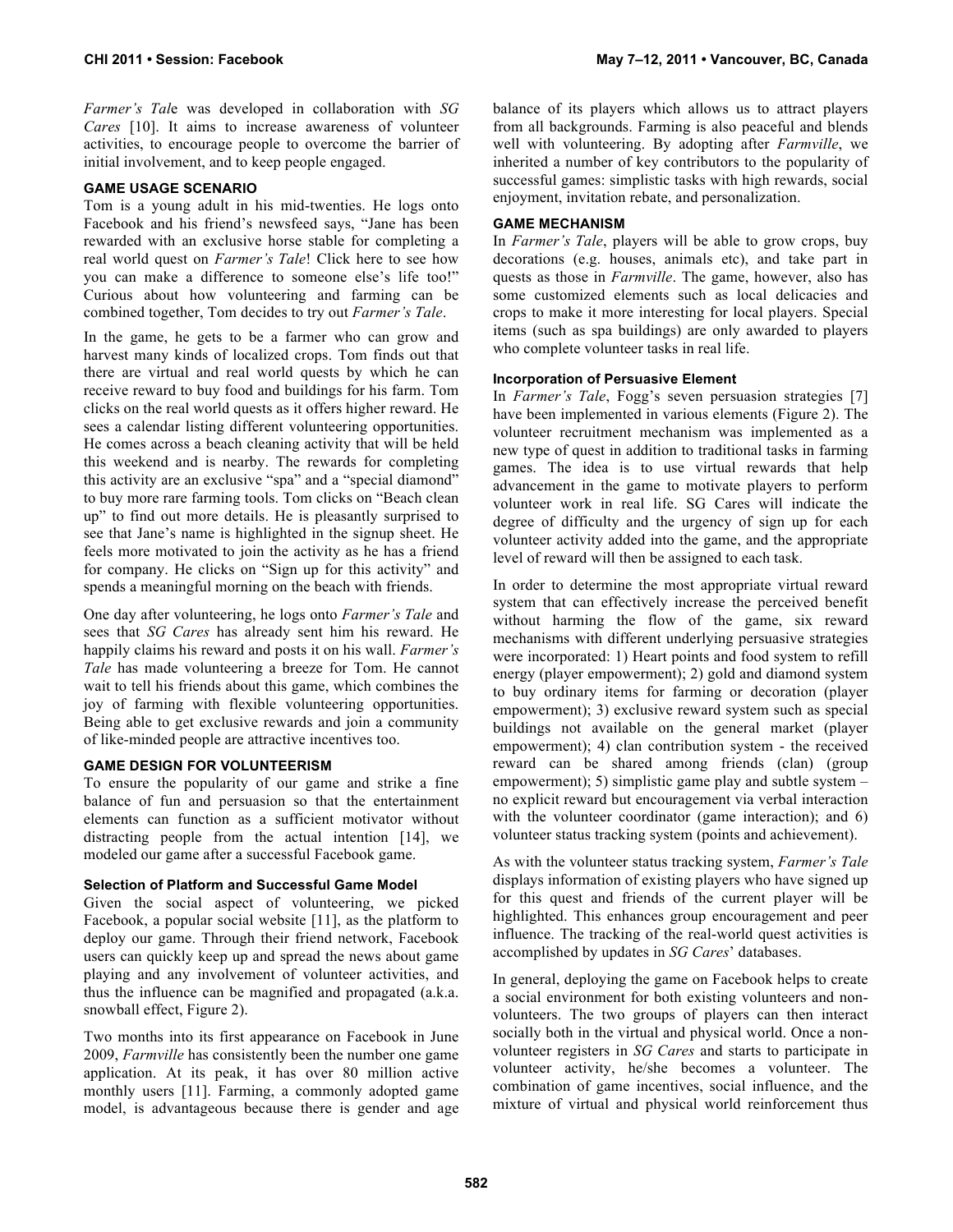*Farmer's Tal*e was developed in collaboration with *SG Cares* [10]. It aims to increase awareness of volunteer activities, to encourage people to overcome the barrier of initial involvement, and to keep people engaged.

# **GAME USAGE SCENARIO**

Tom is a young adult in his mid-twenties. He logs onto Facebook and his friend's newsfeed says, "Jane has been rewarded with an exclusive horse stable for completing a real world quest on *Farmer's Tale*! Click here to see how you can make a difference to someone else's life too!" Curious about how volunteering and farming can be combined together, Tom decides to try out *Farmer's Tale*.

In the game, he gets to be a farmer who can grow and harvest many kinds of localized crops. Tom finds out that there are virtual and real world quests by which he can receive reward to buy food and buildings for his farm. Tom clicks on the real world quests as it offers higher reward. He sees a calendar listing different volunteering opportunities. He comes across a beach cleaning activity that will be held this weekend and is nearby. The rewards for completing this activity are an exclusive "spa" and a "special diamond" to buy more rare farming tools. Tom clicks on "Beach clean up" to find out more details. He is pleasantly surprised to see that Jane's name is highlighted in the signup sheet. He feels more motivated to join the activity as he has a friend for company. He clicks on "Sign up for this activity" and spends a meaningful morning on the beach with friends.

One day after volunteering, he logs onto *Farmer's Tale* and sees that *SG Cares* has already sent him his reward. He happily claims his reward and posts it on his wall. *Farmer's Tale* has made volunteering a breeze for Tom. He cannot wait to tell his friends about this game, which combines the joy of farming with flexible volunteering opportunities. Being able to get exclusive rewards and join a community of like-minded people are attractive incentives too.

## **GAME DESIGN FOR VOLUNTEERISM**

To ensure the popularity of our game and strike a fine balance of fun and persuasion so that the entertainment elements can function as a sufficient motivator without distracting people from the actual intention [14], we modeled our game after a successful Facebook game.

## **Selection of Platform and Successful Game Model**

Given the social aspect of volunteering, we picked Facebook, a popular social website [11], as the platform to deploy our game. Through their friend network, Facebook users can quickly keep up and spread the news about game playing and any involvement of volunteer activities, and thus the influence can be magnified and propagated (a.k.a. snowball effect, Figure 2).

Two months into its first appearance on Facebook in June 2009, *Farmville* has consistently been the number one game application. At its peak, it has over 80 million active monthly users [11]. Farming, a commonly adopted game model, is advantageous because there is gender and age balance of its players which allows us to attract players from all backgrounds. Farming is also peaceful and blends well with volunteering. By adopting after *Farmville*, we inherited a number of key contributors to the popularity of successful games: simplistic tasks with high rewards, social enjoyment, invitation rebate, and personalization.

# **GAME MECHANISM**

In *Farmer's Tale*, players will be able to grow crops, buy decorations (e.g. houses, animals etc), and take part in quests as those in *Farmville*. The game, however, also has some customized elements such as local delicacies and crops to make it more interesting for local players. Special items (such as spa buildings) are only awarded to players who complete volunteer tasks in real life.

## **Incorporation of Persuasive Element**

In *Farmer's Tale*, Fogg's seven persuasion strategies [7] have been implemented in various elements (Figure 2). The volunteer recruitment mechanism was implemented as a new type of quest in addition to traditional tasks in farming games. The idea is to use virtual rewards that help advancement in the game to motivate players to perform volunteer work in real life. SG Cares will indicate the degree of difficulty and the urgency of sign up for each volunteer activity added into the game, and the appropriate level of reward will then be assigned to each task.

In order to determine the most appropriate virtual reward system that can effectively increase the perceived benefit without harming the flow of the game, six reward mechanisms with different underlying persuasive strategies were incorporated: 1) Heart points and food system to refill energy (player empowerment); 2) gold and diamond system to buy ordinary items for farming or decoration (player empowerment); 3) exclusive reward system such as special buildings not available on the general market (player empowerment); 4) clan contribution system - the received reward can be shared among friends (clan) (group empowerment); 5) simplistic game play and subtle system – no explicit reward but encouragement via verbal interaction with the volunteer coordinator (game interaction); and 6) volunteer status tracking system (points and achievement).

As with the volunteer status tracking system, *Farmer's Tale* displays information of existing players who have signed up for this quest and friends of the current player will be highlighted. This enhances group encouragement and peer influence. The tracking of the real-world quest activities is accomplished by updates in *SG Cares*' databases.

In general, deploying the game on Facebook helps to create a social environment for both existing volunteers and nonvolunteers. The two groups of players can then interact socially both in the virtual and physical world. Once a nonvolunteer registers in *SG Cares* and starts to participate in volunteer activity, he/she becomes a volunteer. The combination of game incentives, social influence, and the mixture of virtual and physical world reinforcement thus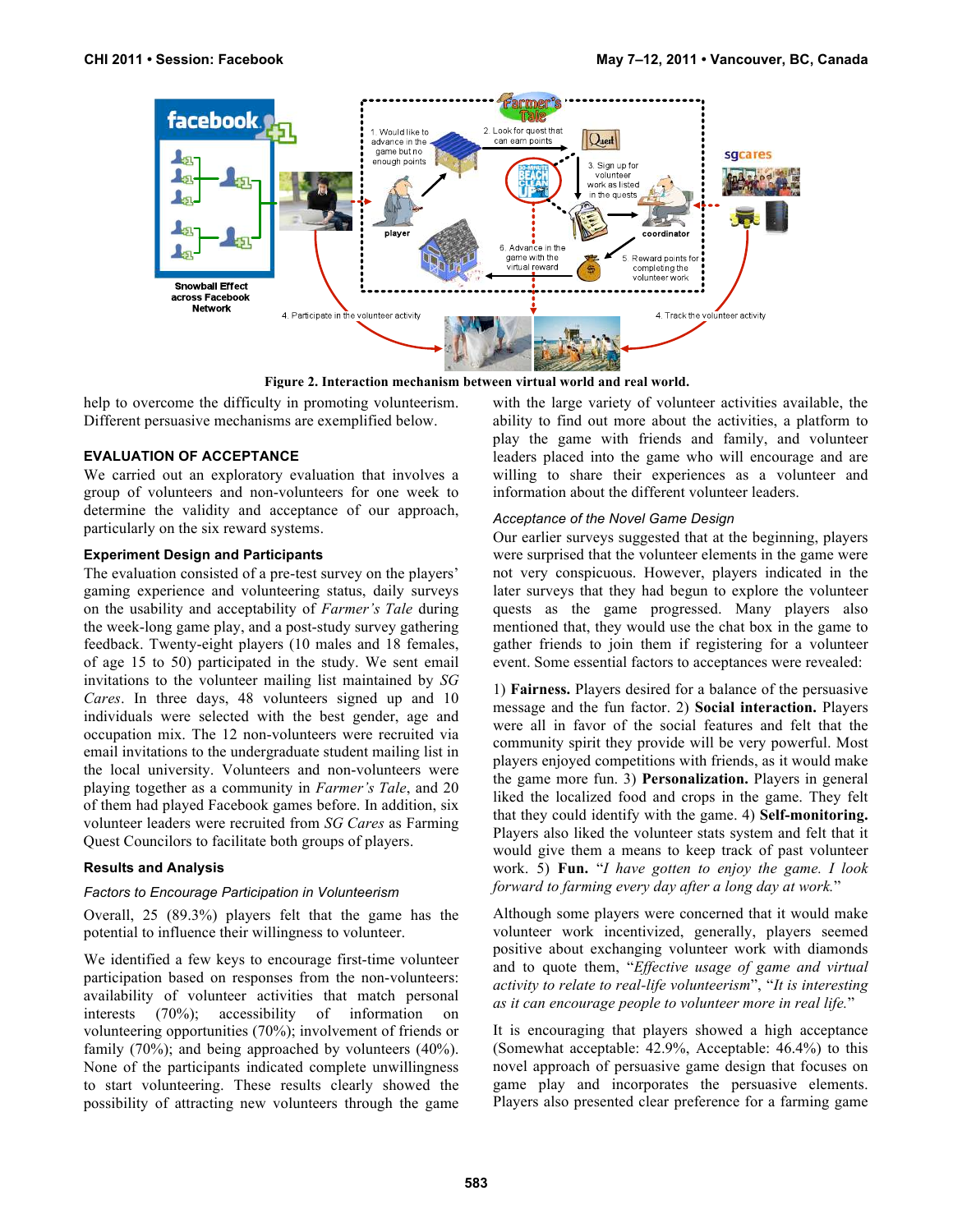

**Figure 2. Interaction mechanism between virtual world and real world.**

help to overcome the difficulty in promoting volunteerism. Different persuasive mechanisms are exemplified below.

#### **EVALUATION OF ACCEPTANCE**

We carried out an exploratory evaluation that involves a group of volunteers and non-volunteers for one week to determine the validity and acceptance of our approach, particularly on the six reward systems.

#### **Experiment Design and Participants**

The evaluation consisted of a pre-test survey on the players' gaming experience and volunteering status, daily surveys on the usability and acceptability of *Farmer's Tale* during the week-long game play, and a post-study survey gathering feedback. Twenty-eight players (10 males and 18 females, of age 15 to 50) participated in the study. We sent email invitations to the volunteer mailing list maintained by *SG Cares*. In three days, 48 volunteers signed up and 10 individuals were selected with the best gender, age and occupation mix. The 12 non-volunteers were recruited via email invitations to the undergraduate student mailing list in the local university. Volunteers and non-volunteers were playing together as a community in *Farmer's Tale*, and 20 of them had played Facebook games before. In addition, six volunteer leaders were recruited from *SG Cares* as Farming Quest Councilors to facilitate both groups of players.

## **Results and Analysis**

#### *Factors to Encourage Participation in Volunteerism*

Overall, 25 (89.3%) players felt that the game has the potential to influence their willingness to volunteer.

We identified a few keys to encourage first-time volunteer participation based on responses from the non-volunteers: availability of volunteer activities that match personal interests (70%); accessibility of information on volunteering opportunities (70%); involvement of friends or family (70%); and being approached by volunteers (40%). None of the participants indicated complete unwillingness to start volunteering. These results clearly showed the possibility of attracting new volunteers through the game

with the large variety of volunteer activities available, the ability to find out more about the activities, a platform to play the game with friends and family, and volunteer leaders placed into the game who will encourage and are willing to share their experiences as a volunteer and information about the different volunteer leaders.

#### *Acceptance of the Novel Game Design*

Our earlier surveys suggested that at the beginning, players were surprised that the volunteer elements in the game were not very conspicuous. However, players indicated in the later surveys that they had begun to explore the volunteer quests as the game progressed. Many players also mentioned that, they would use the chat box in the game to gather friends to join them if registering for a volunteer event. Some essential factors to acceptances were revealed:

1) **Fairness.** Players desired for a balance of the persuasive message and the fun factor. 2) **Social interaction.** Players were all in favor of the social features and felt that the community spirit they provide will be very powerful. Most players enjoyed competitions with friends, as it would make the game more fun. 3) **Personalization.** Players in general liked the localized food and crops in the game. They felt that they could identify with the game. 4) **Self-monitoring.** Players also liked the volunteer stats system and felt that it would give them a means to keep track of past volunteer work. 5) **Fun.** "*I have gotten to enjoy the game. I look forward to farming every day after a long day at work.*"

Although some players were concerned that it would make volunteer work incentivized, generally, players seemed positive about exchanging volunteer work with diamonds and to quote them, "*Effective usage of game and virtual activity to relate to real-life volunteerism*", "*It is interesting as it can encourage people to volunteer more in real life.*"

It is encouraging that players showed a high acceptance (Somewhat acceptable: 42.9%, Acceptable: 46.4%) to this novel approach of persuasive game design that focuses on game play and incorporates the persuasive elements. Players also presented clear preference for a farming game